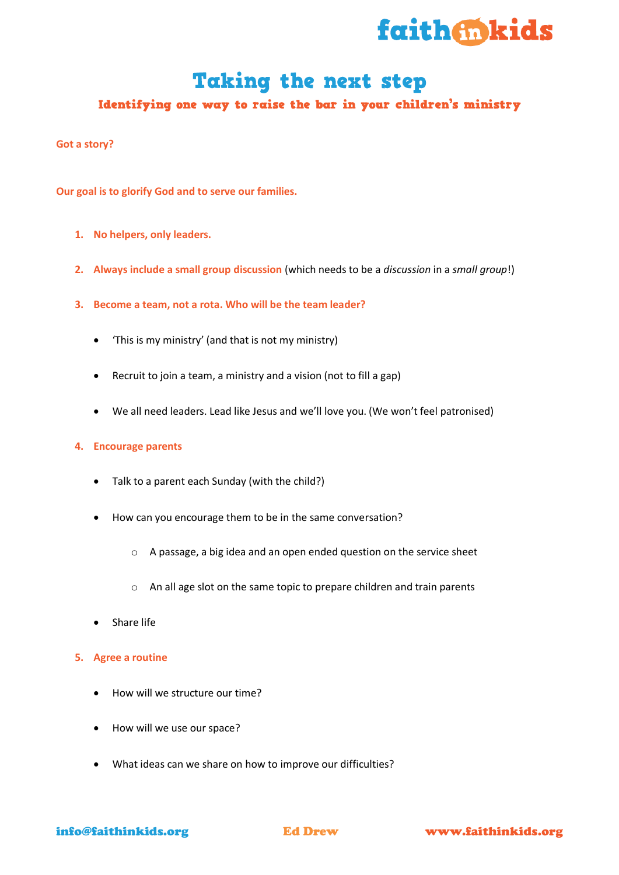

# Taking the next step

# Identifying one way to raise the bar in your children's ministry

## **Got a story?**

**Our goal is to glorify God and to serve our families.**

- **1. No helpers, only leaders.**
- **2. Always include a small group discussion** (which needs to be a *discussion* in a *small group*!)
- **3. Become a team, not a rota. Who will be the team leader?**
	- 'This is my ministry' (and that is not my ministry)
	- Recruit to join a team, a ministry and a vision (not to fill a gap)
	- We all need leaders. Lead like Jesus and we'll love you. (We won't feel patronised)

#### **4. Encourage parents**

- Talk to a parent each Sunday (with the child?)
- How can you encourage them to be in the same conversation?
	- o A passage, a big idea and an open ended question on the service sheet
	- o An all age slot on the same topic to prepare children and train parents
- Share life
- **5. Agree a routine**
	- How will we structure our time?
	- How will we use our space?
	- What ideas can we share on how to improve our difficulties?